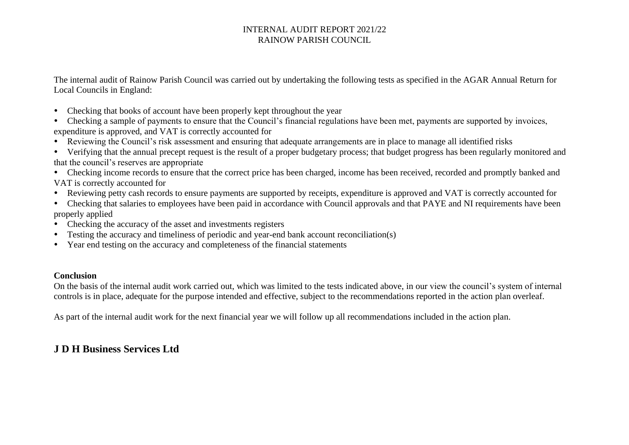The internal audit of Rainow Parish Council was carried out by undertaking the following tests as specified in the AGAR Annual Return for Local Councils in England:

- Checking that books of account have been properly kept throughout the year
- Checking a sample of payments to ensure that the Council's financial regulations have been met, payments are supported by invoices, expenditure is approved, and VAT is correctly accounted for
- Reviewing the Council's risk assessment and ensuring that adequate arrangements are in place to manage all identified risks
- Verifying that the annual precept request is the result of a proper budgetary process; that budget progress has been regularly monitored and that the council's reserves are appropriate
- Checking income records to ensure that the correct price has been charged, income has been received, recorded and promptly banked and VAT is correctly accounted for
- Reviewing petty cash records to ensure payments are supported by receipts, expenditure is approved and VAT is correctly accounted for
- Checking that salaries to employees have been paid in accordance with Council approvals and that PAYE and NI requirements have been properly applied
- Checking the accuracy of the asset and investments registers
- Testing the accuracy and timeliness of periodic and year-end bank account reconciliation(s)
- Year end testing on the accuracy and completeness of the financial statements

### **Conclusion**

On the basis of the internal audit work carried out, which was limited to the tests indicated above, in our view the council's system of internal controls is in place, adequate for the purpose intended and effective, subject to the recommendations reported in the action plan overleaf.

As part of the internal audit work for the next financial year we will follow up all recommendations included in the action plan.

# **J D H Business Services Ltd**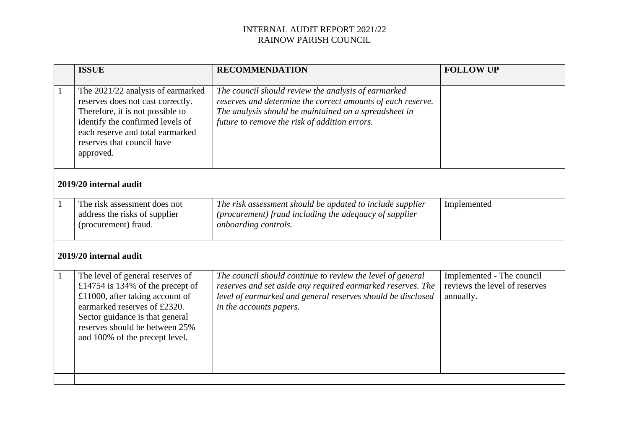|                        | <b>ISSUE</b>                                                                                                                                                                                                                                   | <b>RECOMMENDATION</b>                                                                                                                                                                                                        | <b>FOLLOW UP</b>                                                        |  |  |  |
|------------------------|------------------------------------------------------------------------------------------------------------------------------------------------------------------------------------------------------------------------------------------------|------------------------------------------------------------------------------------------------------------------------------------------------------------------------------------------------------------------------------|-------------------------------------------------------------------------|--|--|--|
| $\mathbf{1}$           | The 2021/22 analysis of earmarked<br>reserves does not cast correctly.<br>Therefore, it is not possible to<br>identify the confirmed levels of<br>each reserve and total earmarked<br>reserves that council have<br>approved.                  | The council should review the analysis of earmarked<br>reserves and determine the correct amounts of each reserve.<br>The analysis should be maintained on a spreadsheet in<br>future to remove the risk of addition errors. |                                                                         |  |  |  |
| 2019/20 internal audit |                                                                                                                                                                                                                                                |                                                                                                                                                                                                                              |                                                                         |  |  |  |
|                        | The risk assessment does not<br>address the risks of supplier<br>(procurement) fraud.                                                                                                                                                          | The risk assessment should be updated to include supplier<br>(procurement) fraud including the adequacy of supplier<br>onboarding controls.                                                                                  | Implemented                                                             |  |  |  |
| 2019/20 internal audit |                                                                                                                                                                                                                                                |                                                                                                                                                                                                                              |                                                                         |  |  |  |
| $\mathbf{1}$           | The level of general reserves of<br>£14754 is 134% of the precept of<br>£11000, after taking account of<br>earmarked reserves of £2320.<br>Sector guidance is that general<br>reserves should be between 25%<br>and 100% of the precept level. | The council should continue to review the level of general<br>reserves and set aside any required earmarked reserves. The<br>level of earmarked and general reserves should be disclosed<br>in the accounts papers.          | Implemented - The council<br>reviews the level of reserves<br>annually. |  |  |  |
|                        |                                                                                                                                                                                                                                                |                                                                                                                                                                                                                              |                                                                         |  |  |  |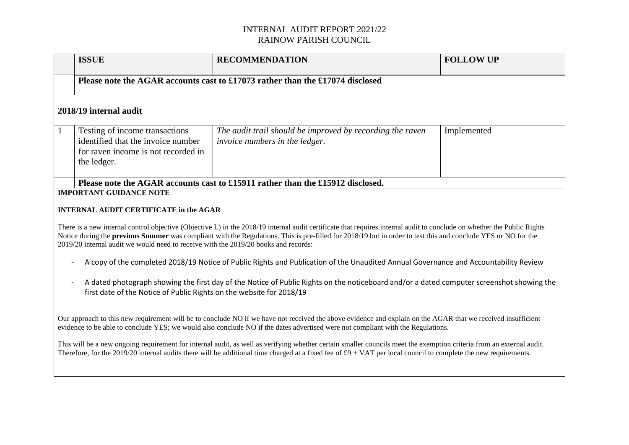|                                                                                                                                                                                                                                                                                                                                                                                                                                                                                                                                                                                                                                                                                                                                                                                                                                                                                 | <b>ISSUE</b>                                                                                                               | <b>RECOMMENDATION</b>                                                                              | <b>FOLLOW UP</b> |  |  |  |
|---------------------------------------------------------------------------------------------------------------------------------------------------------------------------------------------------------------------------------------------------------------------------------------------------------------------------------------------------------------------------------------------------------------------------------------------------------------------------------------------------------------------------------------------------------------------------------------------------------------------------------------------------------------------------------------------------------------------------------------------------------------------------------------------------------------------------------------------------------------------------------|----------------------------------------------------------------------------------------------------------------------------|----------------------------------------------------------------------------------------------------|------------------|--|--|--|
|                                                                                                                                                                                                                                                                                                                                                                                                                                                                                                                                                                                                                                                                                                                                                                                                                                                                                 | Please note the AGAR accounts cast to £17073 rather than the £17074 disclosed                                              |                                                                                                    |                  |  |  |  |
| 2018/19 internal audit                                                                                                                                                                                                                                                                                                                                                                                                                                                                                                                                                                                                                                                                                                                                                                                                                                                          |                                                                                                                            |                                                                                                    |                  |  |  |  |
| $\mathbf{1}$                                                                                                                                                                                                                                                                                                                                                                                                                                                                                                                                                                                                                                                                                                                                                                                                                                                                    | Testing of income transactions<br>identified that the invoice number<br>for raven income is not recorded in<br>the ledger. | The audit trail should be improved by recording the raven<br><i>invoice numbers in the ledger.</i> | Implemented      |  |  |  |
|                                                                                                                                                                                                                                                                                                                                                                                                                                                                                                                                                                                                                                                                                                                                                                                                                                                                                 |                                                                                                                            | Please note the AGAR accounts cast to £15911 rather than the £15912 disclosed.                     |                  |  |  |  |
| <b>IMPORTANT GUIDANCE NOTE</b><br><b>INTERNAL AUDIT CERTIFICATE in the AGAR</b><br>There is a new internal control objective (Objective L) in the 2018/19 internal audit certificate that requires internal audit to conclude on whether the Public Rights<br>Notice during the previous Summer was compliant with the Regulations. This is pre-filled for 2018/19 but in order to test this and conclude YES or NO for the<br>2019/20 internal audit we would need to receive with the 2019/20 books and records:<br>A copy of the completed 2018/19 Notice of Public Rights and Publication of the Unaudited Annual Governance and Accountability Review<br>A dated photograph showing the first day of the Notice of Public Rights on the noticeboard and/or a dated computer screenshot showing the<br>first date of the Notice of Public Rights on the website for 2018/19 |                                                                                                                            |                                                                                                    |                  |  |  |  |
| Our approach to this new requirement will be to conclude NO if we have not received the above evidence and explain on the AGAR that we received insufficient<br>evidence to be able to conclude YES; we would also conclude NO if the dates advertised were not compliant with the Regulations.<br>This will be a new ongoing requirement for internal audit, as well as verifying whether certain smaller councils meet the exemption criteria from an external audit.<br>Therefore, for the 2019/20 internal audits there will be additional time charged at a fixed fee of $\text{\pounds}9 + \text{VAT}$ per local council to complete the new requirements.                                                                                                                                                                                                                |                                                                                                                            |                                                                                                    |                  |  |  |  |